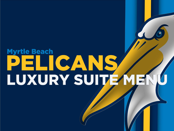# **Myrtle Beach** PELICANS LUXURY SUITE MEI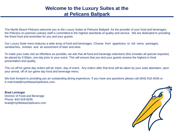## **Welcome to the Luxury Suites at the at Pelicans Ballpark**

The Myrtle Beach Pelicans welcome you to the Luxury Suites at Pelicans Ballpark. As the provider of your food and beverages, the Pelicans on‐premise culinary staff is committed to the highest standards of quality and service. We are dedicated to providing the finest food and amenities for you and your guests.

Our Luxury Suite menu features a wide array of food and beverages. Choose from appetizers to full menu packages, sandwiches, entrees and an assortment of beer and wine.

To make your suite visit as effortless as possible, we ask that all food and beverage selections (this includes all special requests) be placed by 5:00pm, one day prior to your event. This will ensure that you and your guests receive the highest in food presentation and quality.

The cut off for game day orders will be 10am, day of event. Any orders after that time will be taken by your suite attendant, upon your arrival, off of our game day food and beverage menu.

We look forward to providing you an outstanding dining experience. If you have any questions please call (843) 918‐6035 or e‐mail brad@myrtlebeachpelicans.com.

**Brad Leininger** Director of Food and Beverage Phone: 843‐918‐6035 brad@myrtlebeachpelicans.com

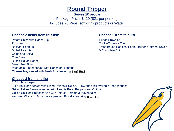## **Round Tripper**

Serves 20 people Package Price: \$420 (\$21 per person) Includes 20 Pepsi soft drink products or Water

#### **Choose 2 items from this list: Choose 1 from this list:**

Potato Chips with Ranch Dip **Full and Contact Chief Brownies** Fudge Brownies Popcorn Cookie/Brownie Tray Ballpark Peanuts **Fresh Baked Cookies: Peanut Butter, Oatmeal Raisin** Boiled Peanuts & Chocolate Chip Chips and Salsa Cole Slaw Bush's Baked Beans Mixed Fruit Bowl Vegetable Platter served with Ranch or Hummus Cheese Tray served with Fresh Fruit featuring Boar's Head

### **Choose 2 from this list**

1/2 lb Hamburgers 1/4lb Hot Dogs served with Diced Onions & Relish. Slaw and Chili available upon request Grilled Italian Sausage served with Hoagie Rolls, Peppers and Onions Grilled Chicken Breast served with Lettuce, Tomato & Mayonnaise Assorted Wraps\*\* (24 hr. notice please). Proudly featuring Boar's Head

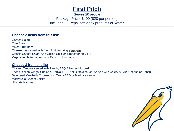

Serves 20 people Package Price: \$400 (\$20 per person) Includes 20 Pepsi soft drink products or Water

#### **Choose 2 items from this list:**

Garden Salad Cole Slaw Mixed Fruit Bowl Cheese tray served with fresh fruit featuring Boar's Head Classic Caesar Salad: Add Grilled Chicken Breast for only \$15 Vegetable platter served with Ranch or Hummus

#### **Choose 3 from this list**

Chicken Tenders served with Ranch, BBQ & Honey Mustard Fried Chicken Wings: Choice of Teriyaki, BBQ or Buffalo sauce. Served with Celery & Blue Cheese or Ranch Seasoned Meatballs Choose from Tangy BBQ or Marinara sauce Mozzarella Cheese Sticks Ultimate Nachos

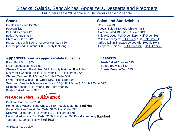## Snacks, Salads, Sandwiches, Appetizers, Desserts and Preorders

Full orders serve 20 people and Half orders serve 12 people

Potato Chips and Dip \$22 Cole Slaw \$30 Popcorn \$20 Caesar Salad \$40 Add Chicken \$55 Ballpark Peanuts \$28 Garden Salad \$35 Add Chicken \$49 Boiled Peanuts \$34 6 Units Australian Material Manufacturers and Material Manufacturers and Material Material Material Material Material Material Material Material Material Material Material Material Material Material Mate

### **Appetizers (serves approximately 20 people) Desserts**

Fresh Fruit Bowl \$60 Fresh Baked Cookies \$25 Fresh Vegetables Tray \$55 Fundation of the Fudge Brownies \$40 Cheese Tray with Fresh Fruit \$95 Proudly featuring **Boar's Head** Cookie/Brownie Tray \$35 Mozzarella Cheese Sticks: Full Order \$120 Half Order \$72 Chicken Tenders: Full Order \$140 Half Order \$84 Fried Chicken Wings: Full Order \$160 Half Order\$96 Seasoned Meatballs Marinara or Spicy BBQ: Full Order \$120 Half Order \$72 Ultimate Nachos: Full Order \$110 Half Order \$60 Bush's Baked Beans: \$20

## **Pre-Order 24hrs. In**

Peel and Eat Shrimp \$190 Homemade Macaroni and Cheese \$80 Proudly featuring Boar's Head Grilled Chicken Breast: Full Order \$160 Half Order \$96 Dickey's Pulled Pork: Full Order \$130 Half Order \$78 Handcrafted Wraps: Full Order \$160 Half Order \$96 Proudly featuring Boar's Head Taco Bar- \$190 see below Boar's Head

All Pizzas- see below

### **Snacks Salad and Sandwiches**

Chips and Salsa \$42 ½ lb Hamburgers: Full Order \$180 Half Order \$105 Pretzel bites with Beer Cheese or Marinara \$60 Grilled Italian Sausage served with Hoagie Rolls Pita Chips and Hummus \$30 Proudly featuring Peppers / Onions Full Order 130 Half Order 78

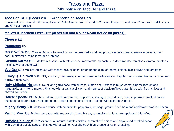### Tacos and Pizza

#### 24hr notice on Taco Bar and Pizza

#### **Taco Bar \$190 (Feeds 20) (24hr notice on Taco Bar)**

Seasoned Beef served with Salsa, Pico de Gallo, Guacamole, Shredded Cheese, Jalapenos, and Sour Cream with Tortilla chips and 6" Flour Tortillas

#### **Mellow Mushroom Pizza (16" pizzas cut into 8 slices/24hr notice on pizzas)**

Ī

**Cheese** \$27

**Pepperon**i \$27

**Great White** \$38: Olive oil & garlic base with sun-dried roasted tomatoes, provolone, feta cheese, seasoned ricotta, fresh basil, mozzarella, roma tomatoes & onions.

**Kosmic Karma** \$38 : Mellow red sauce with feta cheese, mozzarella, spinach, sun-dried roasted tomatoes & roma tomatoes. Finished with a pesto swirl.

**Veg Out** \$38: Mellow red sauce with mozzarella, spinach, green peppers, mushrooms, onions, black olives and tomatoes.

**Funky Q. Chicken** \$38: BBQ chicken, mozzarella, cheddar, caramelized onions and applewood smoked bacon. Finished with a BBQ sauce swirl.

**Holy Shiitake Pie** \$38: Olive oil and garlic base with shiitake, button and Portobello mushrooms, caramelized onions, mozzarella, and MontAmoré®. Finished with a garlic aioli swirl and a spritz of black truffle oil. Garnished with fresh chives and shaved parmesan.

**House Special** \$38: Mellow red sauce with mozzarella, pepperoni, sausage, ground beef, ham, applewood smoked bacon, mushrooms, black olives, roma tomatoes, green peppers and onions. Topped with extra mozzarella.

**Mighty Meaty** \$38: Mellow red sauce with mozzarella, pepperoni, sausage, ground beef, ham and applewood smoked bacon.

**Pacific Rim** \$38: Mellow red sauce with mozzarella, ham, bacon, caramelized onions, pineapple and jalapeños.

**Buffalo Chicken** \$38: Mozzarella, all-natural buffalo chicken, caramelized onions and applewood smoked bacon with a swirl of buffalo sauce. Finished with a swirl of your choice of bleu cheese or ranch dressing.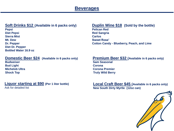## **Beverages**

### **Soft Drinks \$12** (Available in 6 packs only) **Duplin Wine \$18** (Sold by the bottle)

**Pepsi Pelican Red Diet Pepsi** Red Sangria **Sierra Mist Carlos Mt. Dew Sweet Rose' Diet Dr. Pepper Bottled Water 16.9 oz**

#### **Domestic Beer \$24** (Available in 6 packs only) **Premium Beer \$32** (Available in 6 packs only)

**Budweiser Sam Seasonal Bud Light Corona** 

#### **Liquor starting at \$90 (Per 1 liter bottle)**

Ask for detailed list

**Dr. Pepper Cotton Candy - Blueberry, Peach, and Lime** 

**Michelob Ultra Corona Premier Shock Top Truly Wild Berry**

> **Local Craft Beer \$45 (Available in 6 packs only) New South Dirty Myrtle (12oz can)**